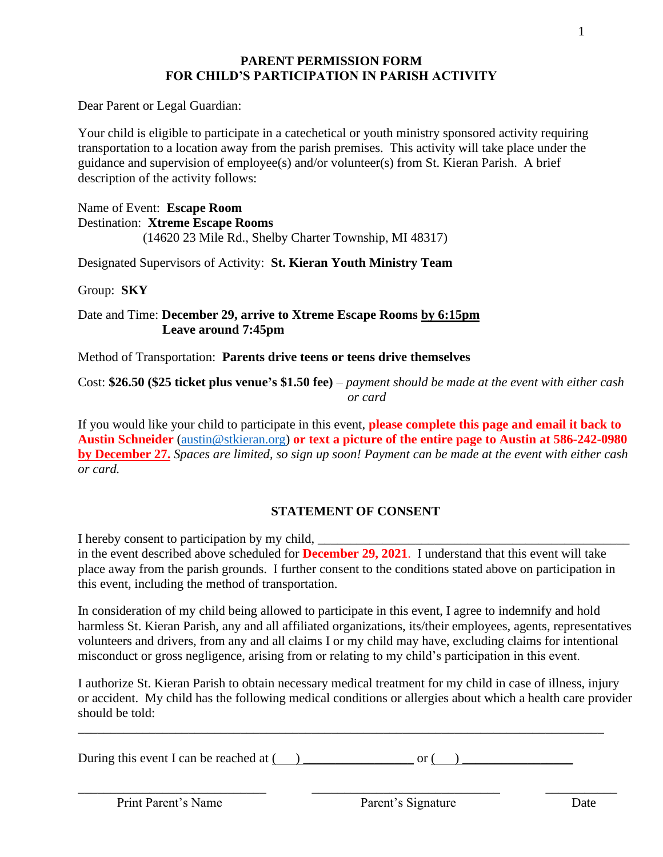### **PARENT PERMISSION FORM FOR CHILD'S PARTICIPATION IN PARISH ACTIVITY**

Dear Parent or Legal Guardian:

Your child is eligible to participate in a catechetical or youth ministry sponsored activity requiring transportation to a location away from the parish premises. This activity will take place under the guidance and supervision of employee(s) and/or volunteer(s) from St. Kieran Parish. A brief description of the activity follows:

Name of Event: **Escape Room** Destination: **Xtreme Escape Rooms** (14620 23 Mile Rd., Shelby Charter Township, MI 48317)

Designated Supervisors of Activity: **St. Kieran Youth Ministry Team**

Group: **SKY**

Date and Time: **December 29, arrive to Xtreme Escape Rooms by 6:15pm Leave around 7:45pm**

Method of Transportation: **Parents drive teens or teens drive themselves** 

Cost: **\$26.50 (\$25 ticket plus venue's \$1.50 fee)** – *payment should be made at the event with either cash or card*

If you would like your child to participate in this event, **please complete this page and email it back to Austin Schneider** [\(austin@stkieran.org\)](mailto:austin@stkieran.org) **or text a picture of the entire page to Austin at 586-242-0980 by December 27.** *Spaces are limited, so sign up soon! Payment can be made at the event with either cash or card.* 

# **STATEMENT OF CONSENT**

I hereby consent to participation by my child, in the event described above scheduled for **December 29, 2021**. I understand that this event will take place away from the parish grounds. I further consent to the conditions stated above on participation in this event, including the method of transportation.

In consideration of my child being allowed to participate in this event, I agree to indemnify and hold harmless St. Kieran Parish, any and all affiliated organizations, its/their employees, agents, representatives volunteers and drivers, from any and all claims I or my child may have, excluding claims for intentional misconduct or gross negligence, arising from or relating to my child's participation in this event.

I authorize St. Kieran Parish to obtain necessary medical treatment for my child in case of illness, injury or accident. My child has the following medical conditions or allergies about which a health care provider should be told:

During this event I can be reached at  $($   $)$  or  $($   $)$ 

\_\_\_\_\_\_\_\_\_\_\_\_\_\_\_\_\_\_\_\_\_\_\_\_\_\_\_\_\_\_\_\_\_\_\_\_\_\_\_\_\_\_\_\_\_\_\_\_\_\_\_\_\_\_\_\_\_\_\_\_\_\_\_\_\_\_\_\_\_\_\_\_\_\_\_\_\_\_\_\_\_

\_\_\_\_\_\_\_\_\_\_\_\_\_\_\_\_\_\_\_\_\_\_\_\_\_\_\_\_\_ \_\_\_\_\_\_\_\_\_\_\_\_\_\_\_\_\_\_\_\_\_\_\_\_\_\_\_\_\_ \_\_\_\_\_\_\_\_\_\_\_

Print Parent's Name Parent's Signature Date